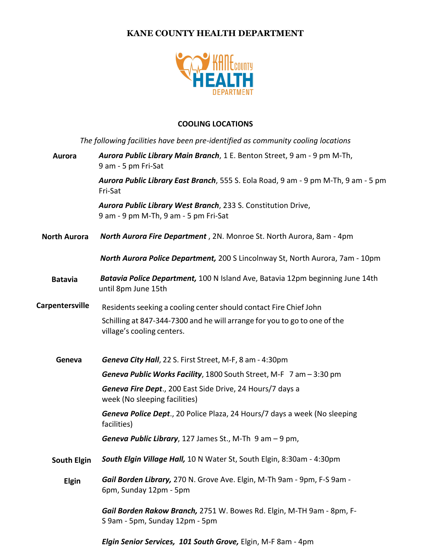## **KANE COUNTY HEALTH DEPARTMENT**



## **COOLING LOCATIONS**

| The following facilities have been pre-identified as community cooling locations |                                                                                                         |
|----------------------------------------------------------------------------------|---------------------------------------------------------------------------------------------------------|
| Aurora                                                                           | Aurora Public Library Main Branch, 1 E. Benton Street, 9 am - 9 pm M-Th,<br>9 am - 5 pm Fri-Sat         |
|                                                                                  | Aurora Public Library East Branch, 555 S. Eola Road, 9 am - 9 pm M-Th, 9 am - 5 pm<br>Fri-Sat           |
|                                                                                  | Aurora Public Library West Branch, 233 S. Constitution Drive,<br>9 am - 9 pm M-Th, 9 am - 5 pm Fri-Sat  |
| <b>North Aurora</b>                                                              | North Aurora Fire Department, 2N. Monroe St. North Aurora, 8am - 4pm                                    |
|                                                                                  | <b>North Aurora Police Department, 200 S Lincolnway St, North Aurora, 7am - 10pm</b>                    |
| <b>Batavia</b>                                                                   | Batavia Police Department, 100 N Island Ave, Batavia 12pm beginning June 14th<br>until 8pm June 15th    |
| <b>Carpentersville</b>                                                           | Residents seeking a cooling center should contact Fire Chief John                                       |
|                                                                                  | Schilling at 847-344-7300 and he will arrange for you to go to one of the<br>village's cooling centers. |
| Geneva                                                                           | Geneva City Hall, 22 S. First Street, M-F, 8 am - 4:30pm                                                |
|                                                                                  | Geneva Public Works Facility, 1800 South Street, M-F 7 am - 3:30 pm                                     |
|                                                                                  | Geneva Fire Dept., 200 East Side Drive, 24 Hours/7 days a<br>week (No sleeping facilities)              |
|                                                                                  | Geneva Police Dept., 20 Police Plaza, 24 Hours/7 days a week (No sleeping<br>facilities)                |
|                                                                                  | Geneva Public Library, 127 James St., M-Th $9$ am $-9$ pm,                                              |
| South Elgin                                                                      | <b>South Elgin Village Hall, 10 N Water St, South Elgin, 8:30am - 4:30pm</b>                            |
| <b>Elgin</b>                                                                     | Gail Borden Library, 270 N. Grove Ave. Elgin, M-Th 9am - 9pm, F-S 9am -<br>6pm, Sunday 12pm - 5pm       |
|                                                                                  | Gail Borden Rakow Branch, 2751 W. Bowes Rd. Elgin, M-TH 9am - 8pm, F-<br>S 9am - 5pm, Sunday 12pm - 5pm |
|                                                                                  | Elgin Senior Services, 101 South Grove, Elgin, M-F 8am - 4pm                                            |